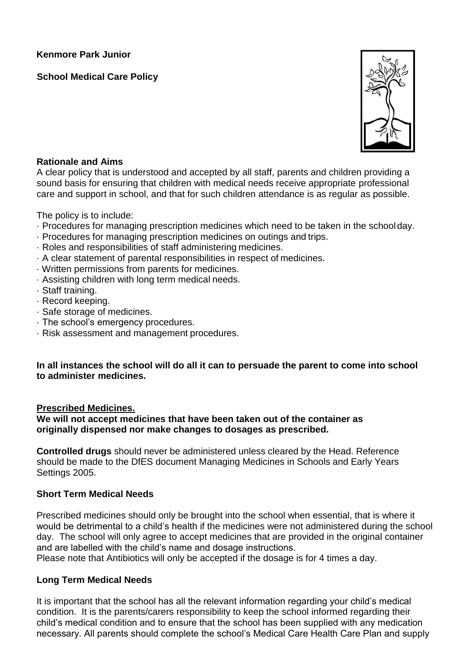**Kenmore Park Junior** 

# **School Medical Care Policy**



### **Rationale and Aims**

A clear policy that is understood and accepted by all staff, parents and children providing a sound basis for ensuring that children with medical needs receive appropriate professional care and support in school, and that for such children attendance is as regular as possible.

The policy is to include:

- · Procedures for managing prescription medicines which need to be taken in the schoolday.
- · Procedures for managing prescription medicines on outings and trips.
- · Roles and responsibilities of staff administering medicines.
- · A clear statement of parental responsibilities in respect of medicines.
- · Written permissions from parents for medicines.
- · Assisting children with long term medical needs.
- · Staff training.
- · Record keeping.
- · Safe storage of medicines.
- · The school's emergency procedures.
- · Risk assessment and management procedures.

### **In all instances the school will do all it can to persuade the parent to come into school to administer medicines.**

#### **Prescribed Medicines.**

**We will not accept medicines that have been taken out of the container as originally dispensed nor make changes to dosages as prescribed.**

**Controlled drugs** should never be administered unless cleared by the Head. Reference should be made to the DfES document Managing Medicines in Schools and Early Years Settings 2005.

# **Short Term Medical Needs**

Prescribed medicines should only be brought into the school when essential, that is where it would be detrimental to a child's health if the medicines were not administered during the school day. The school will only agree to accept medicines that are provided in the original container and are labelled with the child's name and dosage instructions.

Please note that Antibiotics will only be accepted if the dosage is for 4 times a day.

# **Long Term Medical Needs**

It is important that the school has all the relevant information regarding your child's medical condition. It is the parents/carers responsibility to keep the school informed regarding their child's medical condition and to ensure that the school has been supplied with any medication necessary. All parents should complete the school's Medical Care Health Care Plan and supply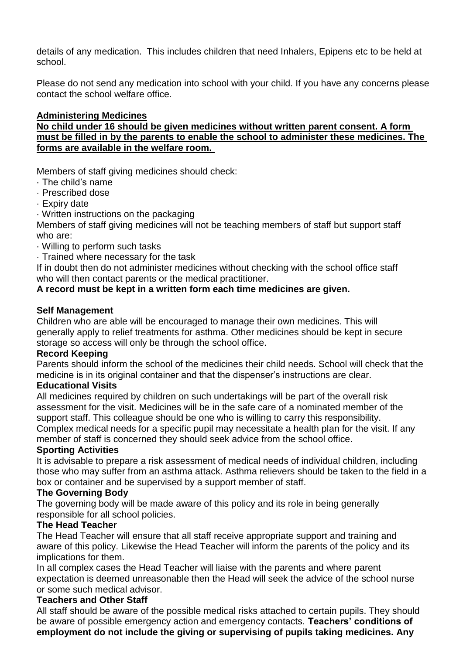details of any medication. This includes children that need Inhalers, Epipens etc to be held at school.

Please do not send any medication into school with your child. If you have any concerns please contact the school welfare office.

### **Administering Medicines**

**No child under 16 should be given medicines without written parent consent. A form must be filled in by the parents to enable the school to administer these medicines. The forms are available in the welfare room.** 

Members of staff giving medicines should check:

- · The child's name
- · Prescribed dose
- · Expiry date
- · Written instructions on the packaging

Members of staff giving medicines will not be teaching members of staff but support staff who are:

- · Willing to perform such tasks
- · Trained where necessary for the task

If in doubt then do not administer medicines without checking with the school office staff who will then contact parents or the medical practitioner.

# **A record must be kept in a written form each time medicines are given.**

#### **Self Management**

Children who are able will be encouraged to manage their own medicines. This will generally apply to relief treatments for asthma. Other medicines should be kept in secure storage so access will only be through the school office.

#### **Record Keeping**

Parents should inform the school of the medicines their child needs. School will check that the medicine is in its original container and that the dispenser's instructions are clear.

#### **Educational Visits**

All medicines required by children on such undertakings will be part of the overall risk assessment for the visit. Medicines will be in the safe care of a nominated member of the support staff. This colleague should be one who is willing to carry this responsibility.

Complex medical needs for a specific pupil may necessitate a health plan for the visit. If any member of staff is concerned they should seek advice from the school office.

### **Sporting Activities**

It is advisable to prepare a risk assessment of medical needs of individual children, including those who may suffer from an asthma attack. Asthma relievers should be taken to the field in a box or container and be supervised by a support member of staff.

#### **The Governing Body**

The governing body will be made aware of this policy and its role in being generally responsible for all school policies.

#### **The Head Teacher**

The Head Teacher will ensure that all staff receive appropriate support and training and aware of this policy. Likewise the Head Teacher will inform the parents of the policy and its implications for them.

In all complex cases the Head Teacher will liaise with the parents and where parent expectation is deemed unreasonable then the Head will seek the advice of the school nurse or some such medical advisor.

#### **Teachers and Other Staff**

All staff should be aware of the possible medical risks attached to certain pupils. They should be aware of possible emergency action and emergency contacts. **Teachers' conditions of employment do not include the giving or supervising of pupils taking medicines. Any**